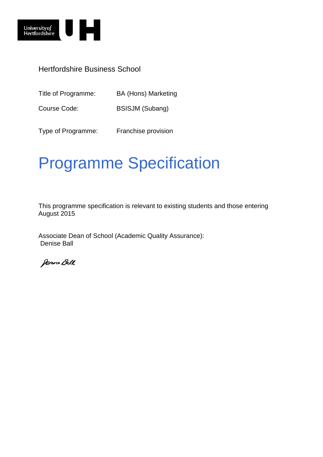

Title of Programme: BA (Hons) Marketing

Course Code: BSISJM (Subang)

Type of Programme: Franchise provision

# Programme Specification

This programme specification is relevant to existing students and those entering August 2015

Associate Dean of School (Academic Quality Assurance): Denise Ball

Denne Ball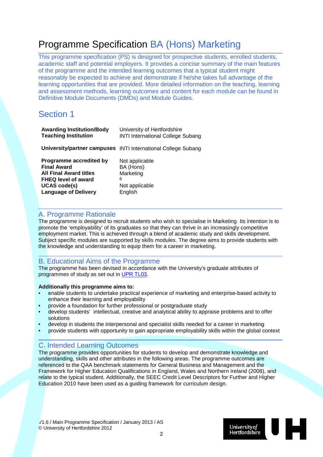## Programme Specification BA (Hons) Marketing

This programme specification (PS) is designed for prospective students, enrolled students, academic staff and potential employers. It provides a concise summary of the main features of the programme and the intended learning outcomes that a typical student might reasonably be expected to achieve and demonstrate if he/she takes full advantage of the learning opportunities that are provided. More detailed information on the teaching, learning and assessment methods, learning outcomes and content for each module can be found in Definitive Module Documents (DMDs) and Module Guides.

### Section 1

| <b>Awarding Institution/Body</b> | University of Hertfordshire                                   |
|----------------------------------|---------------------------------------------------------------|
| <b>Teaching Institution</b>      | <b>INTI International College Subang</b>                      |
|                                  | University/partner campuses INTI International College Subang |
| Programme accredited by          | Not applicable                                                |
| <b>Final Award</b>               | BA (Hons)                                                     |
| <b>All Final Award titles</b>    | Marketing                                                     |
| <b>FHEQ level of award</b>       | 6                                                             |
| <b>UCAS code(s)</b>              | Not applicable                                                |
| <b>Language of Delivery</b>      | English                                                       |

### A. Programme Rationale

The programme is designed to recruit students who wish to specialise in Marketing Its intention is to promote the 'employability' of its graduates so that they can thrive in an increasingly competitive employment market. This is achieved through a blend of academic study and skills development. Subject specific modules are supported by skills modules. The degree aims to provide students with the knowledge and understanding to equip them for a career in marketing.

### B. Educational Aims of the Programme

The programme has been devised in accordance with the University's graduate attributes of programmes of study as set out in [UPR TL03.](http://sitem.herts.ac.uk/secreg/upr/TL03.htm)

### **Additionally this programme aims to:**

- enable students to undertake practical experience of marketing and enterprise-based activity to enhance their learning and employability
- provide a foundation for further professional or postgraduate study
- develop students' intellectual, creative and analytical ability to appraise problems and to offer solutions
- develop in students the interpersonal and specialist skills needed for a career in marketing
- provide students with opportunity to gain appropriate employability skills within the global context

### C. Intended Learning Outcomes

The programme provides opportunities for students to develop and demonstrate knowledge and understanding, skills and other attributes in the following areas. The programme outcomes are referenced to the QAA benchmark statements for General Business and Management and the Framework for Higher Education Qualifications in England, Wales and Northern Ireland (2008), and relate to the typical student. Additionally, the SEEC Credit Level Descriptors for Further and Higher Education 2010 have been used as a guiding framework for curriculum design.

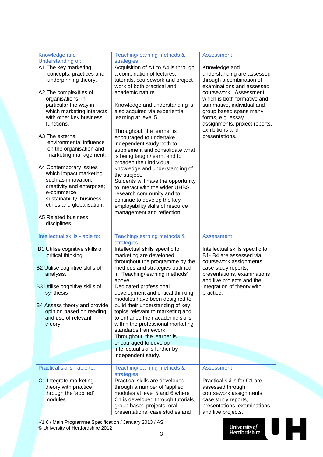| Knowledge and<br>Understanding of:                                                                                                                                            | Teaching/learning methods &<br>strategies                                                                                                                                                                                                                                                          | <b>Assessment</b>                                                                                                                                                                                      |
|-------------------------------------------------------------------------------------------------------------------------------------------------------------------------------|----------------------------------------------------------------------------------------------------------------------------------------------------------------------------------------------------------------------------------------------------------------------------------------------------|--------------------------------------------------------------------------------------------------------------------------------------------------------------------------------------------------------|
| A1 The key marketing<br>concepts, practices and<br>underpinning theory.                                                                                                       | Acquisition of A1 to A4 is through<br>a combination of lectures,<br>tutorials, coursework and project<br>work of both practical and                                                                                                                                                                | Knowledge and<br>understanding are assessed<br>through a combination of<br>examinations and assessed                                                                                                   |
| A2 The complexities of<br>organisations, in<br>particular the way in<br>which marketing interacts<br>with other key business<br>functions.                                    | academic nature.<br>Knowledge and understanding is<br>also acquired via experiential<br>learning at level 5.                                                                                                                                                                                       | coursework. Assessment,<br>which is both formative and<br>summative, individual and<br>group based spans many<br>forms, e.g. essay<br>assignments, project reports,<br>exhibitions and                 |
| A3 The external<br>environmental influence<br>on the organisation and<br>marketing management.                                                                                | Throughout, the learner is<br>encouraged to undertake<br>independent study both to<br>supplement and consolidate what<br>is being taught/learnt and to<br>broaden their individual                                                                                                                 | presentations.                                                                                                                                                                                         |
| A4 Contemporary issues<br>which impact marketing<br>such as innovation,<br>creativity and enterprise;<br>e-commerce,<br>sustainability, business<br>ethics and globalisation. | knowledge and understanding of<br>the subject.<br>Students will have the opportunity<br>to interact with the wider UHBS<br>research community and to<br>continue to develop the key<br>employability skills of resource<br>management and reflection.                                              |                                                                                                                                                                                                        |
| A5 Related business<br>disciplines                                                                                                                                            |                                                                                                                                                                                                                                                                                                    |                                                                                                                                                                                                        |
| Intellectual skills - able to:                                                                                                                                                | Teaching/learning methods &<br>strategies                                                                                                                                                                                                                                                          | <b>Assessment</b>                                                                                                                                                                                      |
| B1 Utilise cognitive skills of<br>critical thinking.<br>B2 Utilise cognitive skills of<br>analysis.<br>B3 Utilise cognitive skills of                                         | Intellectual skills specific to<br>marketing are developed<br>throughout the programme by the<br>methods and strategies outlined<br>in 'Teaching/learning methods'<br>above.<br>Dedicated professional                                                                                             | Intellectual skills specific to<br>B1- B4 are assessed via<br>coursework assignments,<br>case study reports,<br>presentations, examinations<br>and live projects and the<br>integration of theory with |
| synthesis<br>B4 Assess theory and provide<br>opinion based on reading<br>and use of relevant<br>theory.                                                                       | development and critical thinking<br>modules have been designed to<br>build their understanding of key<br>topics relevant to marketing and<br>to enhance their academic skills<br>within the professional marketing<br>standards framework.<br>Throughout, the learner is<br>encouraged to develop | practice.                                                                                                                                                                                              |
|                                                                                                                                                                               | intellectual skills further by                                                                                                                                                                                                                                                                     |                                                                                                                                                                                                        |
|                                                                                                                                                                               | independent study.                                                                                                                                                                                                                                                                                 |                                                                                                                                                                                                        |
| Practical skills - able to:                                                                                                                                                   | Teaching/learning methods &<br>strategies                                                                                                                                                                                                                                                          | <b>Assessment</b>                                                                                                                                                                                      |
| C1 Integrate marketing<br>theory with practice<br>through the 'applied'<br>modules.                                                                                           | Practical skills are developed<br>through a number of 'applied'<br>modules at level 5 and 6 where<br>C1 is developed through tutorials,<br>group based projects, oral<br>presentations, case studies and                                                                                           | Practical skills for C1 are<br>assessed through<br>coursework assignments,<br>case study reports,<br>presentations, examinations<br>and live projects.                                                 |
| V1.6 / Main Programme Specification / January 2013 / AS                                                                                                                       |                                                                                                                                                                                                                                                                                                    |                                                                                                                                                                                                        |

© University of Hertfordshire 2012

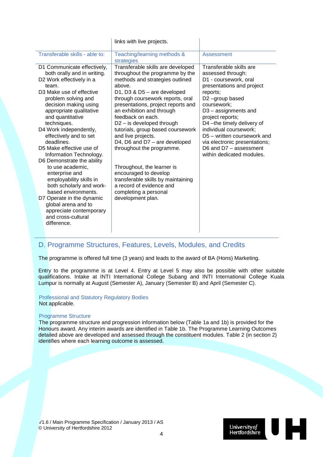|                                                                                                                                                                                                                                                                                                                                                                                                                                                                               | links with live projects.                                                                                                                                                                                                                                                                                                                                                                                                                                                                                                         |                                                                                                                                                                                                                                                                                                                                                                               |
|-------------------------------------------------------------------------------------------------------------------------------------------------------------------------------------------------------------------------------------------------------------------------------------------------------------------------------------------------------------------------------------------------------------------------------------------------------------------------------|-----------------------------------------------------------------------------------------------------------------------------------------------------------------------------------------------------------------------------------------------------------------------------------------------------------------------------------------------------------------------------------------------------------------------------------------------------------------------------------------------------------------------------------|-------------------------------------------------------------------------------------------------------------------------------------------------------------------------------------------------------------------------------------------------------------------------------------------------------------------------------------------------------------------------------|
| Transferable skills - able to:                                                                                                                                                                                                                                                                                                                                                                                                                                                | Teaching/learning methods &<br>strategies                                                                                                                                                                                                                                                                                                                                                                                                                                                                                         | Assessment                                                                                                                                                                                                                                                                                                                                                                    |
| D1 Communicate effectively,<br>both orally and in writing.<br>D2 Work effectively in a<br>team.<br>D <sub>3</sub> Make use of effective<br>problem solving and<br>decision making using<br>appropriate qualitative<br>and quantitative<br>techniques.<br>D4 Work independently,<br>effectively and to set<br>deadlines.<br>D5 Make effective use of<br>Information Technology.<br>D6 Demonstrate the ability<br>to use academic,<br>enterprise and<br>employability skills in | Transferable skills are developed<br>throughout the programme by the<br>methods and strategies outlined<br>above.<br>D1, D3 & D5 - are developed<br>through coursework reports, oral<br>presentations, project reports and<br>an exhibition and through<br>feedback on each.<br>$D2 - is developed through$<br>tutorials, group based coursework<br>and live projects.<br>D4, D6 and D7 - are developed<br>throughout the programme.<br>Throughout, the learner is<br>encouraged to develop<br>transferable skills by maintaining | Transferable skills are<br>assessed through:<br>D1 - coursework, oral<br>presentations and project<br>reports;<br>D2-group based<br>coursework;<br>$D3 -$ assignments and<br>project reports;<br>D4-the timely delivery of<br>individual coursework;<br>D5 - written coursework and<br>via electronic presentations;<br>D6 and $D7 -$ assessment<br>within dedicated modules. |
| both scholarly and work-<br>based environments.<br>D7 Operate in the dynamic<br>global arena and to<br>appreciate contemporary<br>and cross-cultural<br>difference.                                                                                                                                                                                                                                                                                                           | a record of evidence and<br>completing a personal<br>development plan.                                                                                                                                                                                                                                                                                                                                                                                                                                                            |                                                                                                                                                                                                                                                                                                                                                                               |

### D. Programme Structures, Features, Levels, Modules, and Credits

The programme is offered full time (3 years) and leads to the award of BA (Hons) Marketing.

Entry to the programme is at Level 4. Entry at Level 5 may also be possible with other suitable qualifications. Intake at INTI International College Subang and INTI International College Kuala Lumpur is normally at August (Semester A), January (Semester B) and April (Semester C).

Professional and Statutory Regulatory Bodies Not applicable.

### Programme Structure

The programme structure and progression information below (Table 1a and 1b) is provided for the Honours award. Any interim awards are identified in Table 1b. The Programme Learning Outcomes detailed above are developed and assessed through the constituent modules. Table 2 (in section 2) identifies where each learning outcome is assessed.

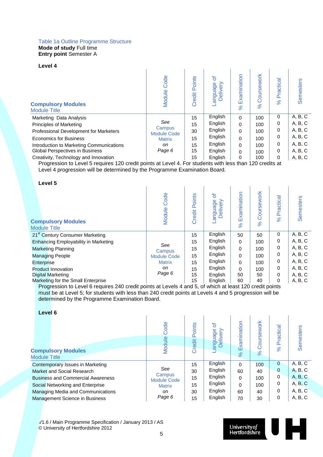#### Table 1a Outline Programme Structure **Mode of study** Full time **Entry point** Semester A

#### **Level 4**

| <b>Compulsory Modules</b><br><b>Module Title</b> | Code<br>Module               | Points<br>Credit | ৳<br>≧<br>anguage<br>live<br>Del | Examination<br>8 <sup>o</sup> | Coursework<br>$\aleph$ | Practica<br>$\aleph$ | <b>Semesters</b> |
|--------------------------------------------------|------------------------------|------------------|----------------------------------|-------------------------------|------------------------|----------------------|------------------|
| Marketing Data Analysis                          |                              | 15               | English                          | $\Omega$                      | 100                    | 0                    | A, B, C          |
| <b>Principles of Marketing</b>                   | See                          | 15               | English                          | 0                             | 100                    | 0                    | A, B, C          |
| Professional Development for Marketers           | Campus<br><b>Module Code</b> | 30               | English                          | $\Omega$                      | 100                    | 0                    | A, B, C          |
| <b>Economics for Business</b>                    | <b>Matrix</b>                | 15               | English                          | $\Omega$                      | 100                    | 0                    | A, B, C          |
| Introduction to Marketing Communications         | on                           | 15               | English                          | 0                             | 100                    | 0                    | A, B, C          |
| <b>Global Perspectives in Business</b>           | Page 6                       | 15               | English                          | 0                             | 100                    | 0                    | A, B, C          |
| Creativity, Technology and Innovation            |                              | 15               | English                          | 0                             | 100                    | 0                    | A, B, C          |

Progression to Level 5 requires 120 credit points at Level 4. For students with less than 120 credits at Level 4 progression will be determined by the Programme Examination Board.

**Level 5**

| ----                                             |                    |                  |                          |                         |                              |                            |           |
|--------------------------------------------------|--------------------|------------------|--------------------------|-------------------------|------------------------------|----------------------------|-----------|
| <b>Compulsory Modules</b><br><b>Module Title</b> | Code<br>Module     | Points<br>Credit | ৳<br>Delivery<br>anguage | Examination<br>$\aleph$ | Coursework<br>8 <sup>o</sup> | Practica<br>8 <sup>o</sup> | Semesters |
| 21 <sup>st</sup> Century Consumer Marketing      |                    | 15               | English                  | 50                      | 50                           | 0                          | A, B, C   |
| Enhancing Employability in Marketing             |                    | 15               | English                  | $\Omega$                | 100                          | 0                          | A, B, C   |
| <b>Marketing Planning</b>                        | See<br>Campus      | 15               | English                  | $\Omega$                | 100                          | 0                          | A, B, C   |
| <b>Managing People</b>                           | <b>Module Code</b> | 15               | English                  | $\Omega$                | 100                          | 0                          | A, B, C   |
| Enterprise                                       | <b>Matrix</b>      | 15               | English                  | $\Omega$                | 100                          | 0                          | A, B, C   |
| <b>Product Innovation</b>                        | on                 | 15               | English                  | $\Omega$                | 100                          | 0                          | A, B, C   |
| Digital Marketing                                | Page 6             | 15               | English                  | 50                      | 50                           | 0                          | A, B, C   |
| Marketing for the Small Enterprise               |                    | 15               | English                  | 60                      | 40                           | 0                          | A, B, C   |

Progression to Level 6 requires 240 credit points at Levels 4 and 5, of which at least 120 credit points must be at Level 5; for students with less than 240 credit points at Levels 4 and 5 progression will be determined by the Programme Examination Board.

**Level 6**

| <b>Compulsory Modules</b><br><b>Module Title</b> | Code<br>Module               | oints<br>≏<br>Credit | ৳<br>anguage<br>Delivery | Examination<br>$\%$ | ework<br>Ō<br>$\aleph$ | Practica<br>$\aleph$ | Semesters |
|--------------------------------------------------|------------------------------|----------------------|--------------------------|---------------------|------------------------|----------------------|-----------|
| Contemporary Issues in Marketing                 |                              | 15                   | English                  | $\Omega$            | 100                    | $\mathbf{0}$         | A, B, C   |
| Market and Social Research                       | See                          | 30                   | English                  | 60                  | 40                     | $\mathbf 0$          | A, B, C   |
| <b>Business and Commercial Awareness</b>         | Campus<br><b>Module Code</b> | 15                   | English                  | 0                   | 100                    | 0                    | A, B, C   |
| Social Networking and Enterprise                 | <b>Matrix</b>                | 15                   | English                  | 0                   | 100                    | 0                    | A, B, C   |
| Managing Media and Communications                | on                           | 30                   | English                  | 60                  | 40                     | 0                    | A, B, C   |
| Management Science in Business                   | Page 6                       | 15                   | English                  | 70                  | 30                     | 0                    | A, B, C   |

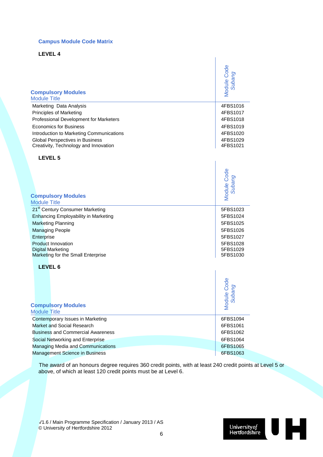### **Campus Module Code Matrix**

**LEVEL 4**

| <b>Compulsory Modules</b>                                   | Module Code           |
|-------------------------------------------------------------|-----------------------|
| <b>Module Title</b>                                         | Subang                |
| Marketing Data Analysis                                     | 4FBS1016              |
| Principles of Marketing                                     | 4FBS1017              |
| Professional Development for Marketers                      | 4FBS1018              |
| <b>Economics for Business</b>                               | 4FBS1019              |
| Introduction to Marketing Communications                    | 4FBS1020              |
| Global Perspectives in Business                             | 4FBS1029              |
| Creativity, Technology and Innovation                       | 4FBS1021              |
| LEVEL 5                                                     |                       |
| <b>Compulsory Modules</b>                                   | Module Code           |
| <b>Module Title</b>                                         | Subang                |
| 21 <sup>st</sup> Century Consumer Marketing                 | 5FBS1023              |
| <b>Enhancing Employability in Marketing</b>                 | 5FBS1024              |
| <b>Marketing Planning</b>                                   | 5FBS1025              |
| <b>Managing People</b>                                      | 5FBS1026              |
| Enterprise                                                  | 5FBS1027              |
| <b>Product Innovation</b>                                   | 5FBS1028              |
| <b>Digital Marketing</b>                                    | 5FBS1029              |
| Marketing for the Small Enterprise                          | 5FBS1030              |
| LEVEL 6<br><b>Compulsory Modules</b><br><b>Module Title</b> | Module Code<br>Subang |
| Contemporary Issues in Marketing                            | 6FBS1094              |
| <b>Market and Social Research</b>                           | 6FBS1061              |
| <b>Business and Commercial Awareness</b>                    | 6FBS1062              |

The award of an honours degree requires 360 credit points, with at least 240 credit points at Level 5 or above, of which at least 120 credit points must be at Level 6.

Social Networking and Enterprise 6FBS1064 Managing Media and Communications 6FBS1065 Management Science in Business 6FBS1063

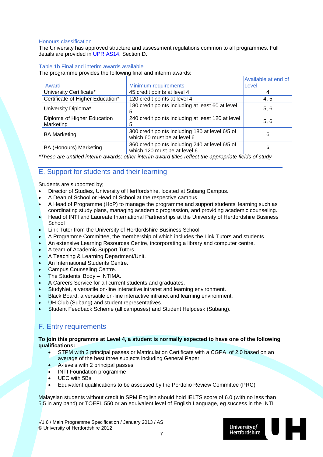### Honours classification

The University has approved structure and assessment regulations common to all programmes. Full details are provided in [UPR AS14,](http://sitem.herts.ac.uk/secreg/upr/pdf/AS14-Structure%20and%20Assessment%20Regs%20-%20Undergrad%20and%20Taught%20Postgrad%20Programmes-v04%200.pdf) Section D.

### Table 1b Final and interim awards available

The programme provides the following final and interim awards:

|                                          |                                                                                 | Available at end of |
|------------------------------------------|---------------------------------------------------------------------------------|---------------------|
| Award                                    | Minimum requirements                                                            | Level               |
| University Certificate*                  | 45 credit points at level 4                                                     |                     |
| Certificate of Higher Education*         | 120 credit points at level 4                                                    | 4, 5                |
| University Diploma*                      | 180 credit points including at least 60 at level<br>5                           | 5, 6                |
| Diploma of Higher Education<br>Marketing | 240 credit points including at least 120 at level<br>5                          | 5, 6                |
| <b>BA Marketing</b>                      | 300 credit points including 180 at level 6/5 of<br>which 60 must be at level 6  | 6                   |
| <b>BA (Honours) Marketing</b>            | 360 credit points including 240 at level 6/5 of<br>which 120 must be at level 6 | 6                   |

*\*These are untitled interim awards; other interim award titles reflect the appropriate fields of study*

### E. Support for students and their learning

Students are supported by;

- Director of Studies, University of Hertfordshire, located at Subang Campus.
- A Dean of School or Head of School at the respective campus.
- A Head of Programme (HoP) to manage the programme and support students' learning such as coordinating study plans, managing academic progression, and providing academic counseling.
- Head of INTI and Laureate International Partnerships at the University of Hertfordshire Business School
- Link Tutor from the University of Hertfordshire Business School
- A Programme Committee, the membership of which includes the Link Tutors and students
- An extensive Learning Resources Centre, incorporating a library and computer centre.
- A team of Academic Support Tutors.
- A Teaching & Learning Department/Unit.
- An International Students Centre.
- Campus Counseling Centre.
- The Students' Body INTIMA.
- A Careers Service for all current students and graduates.
- StudyNet, a versatile on-line interactive intranet and learning environment.
- Black Board, a versatile on-line interactive intranet and learning environment.
- UH Club (Subang) and student representatives.
- Student Feedback Scheme (all campuses) and Student Helpdesk (Subang).

### F. Entry requirements

### **To join this programme at Level 4, a student is normally expected to have one of the following qualifications:**

- STPM with 2 principal passes or Matriculation Certificate with a CGPA of 2.0 based on an average of the best three subjects including General Paper
- A-levels with 2 principal passes
- INTI Foundation programme
- UEC with 5Bs
- Equivalent qualifications to be assessed by the Portfolio Review Committee (PRC)

Malaysian students without credit in SPM English should hold IELTS score of 6.0 (with no less than 5.5 in any band) or TOEFL 550 or an equivalent level of English Language, eg success in the INTI

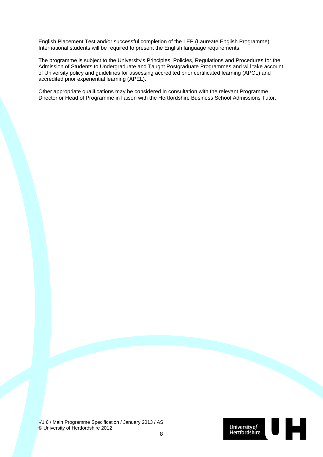English Placement Test and/or successful completion of the LEP (Laureate English Programme). International students will be required to present the English language requirements.

The programme is subject to the University's Principles, Policies, Regulations and Procedures for the Admission of Students to Undergraduate and Taught Postgraduate Programmes and will take account of University policy and guidelines for assessing accredited prior certificated learning (APCL) and accredited prior experiential learning (APEL).

Other appropriate qualifications may be considered in consultation with the relevant Programme Director or Head of Programme in liaison with the Hertfordshire Business School Admissions Tutor.

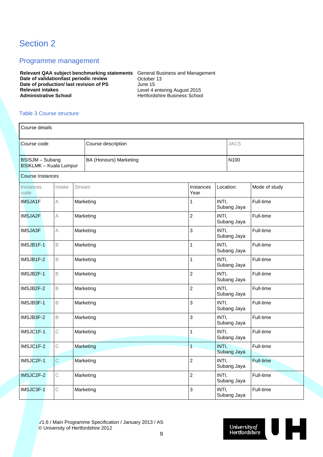### Section 2

### Programme management

**Relevant QAA subject benchmarking statements** General Business and Management **Date of validation/last periodic review Corporation Corporation 13 Date of production/ last revision of PS** June 15<br>Relevant intakes Level 4 **Relevant intakes**<br> **Relevant intakes**<br> **Administrative School**<br> **Administrative School**<br> **Administrative School**<br> **Administrative School** 

**Administrative School** Hertfordshire Business School

### Table 3 Course structure

| Course details                                                                            |                |               |           |  |                   |                      |             |               |
|-------------------------------------------------------------------------------------------|----------------|---------------|-----------|--|-------------------|----------------------|-------------|---------------|
| <b>JACS</b><br>Course code<br>Course description                                          |                |               |           |  |                   |                      |             |               |
| N100<br>BSISJM - Subang<br><b>BA (Honours) Marketing</b><br><b>BSIKLMK - Kuala Lumpur</b> |                |               |           |  |                   |                      |             |               |
| Course Instances                                                                          |                |               |           |  |                   |                      |             |               |
| Instances<br>code                                                                         | Intake         | <b>Stream</b> |           |  | Instances<br>Year | Location:            |             | Mode of study |
| <b>IMSJA1F</b>                                                                            | A              |               | Marketing |  | 1                 | INTI,                | Subang Jaya | Full-time     |
| <b>IMSJA2F</b>                                                                            | А              |               | Marketing |  | $\overline{c}$    | INTI,                | Subang Jaya | Full-time     |
| <b>IMSJA3F</b>                                                                            | Α              |               | Marketing |  | 3                 | INTI,<br>Subang Jaya |             | Full-time     |
| IMSJB1F-1                                                                                 | B              |               | Marketing |  | 1                 | INTI,<br>Subang Jaya |             | Full-time     |
| IMSJB1F-2                                                                                 | $\mathsf B$    |               | Marketing |  | 1                 | INTI,<br>Subang Jaya |             | Full-time     |
| IMSJB2F-1                                                                                 | $\overline{B}$ |               | Marketing |  | $\overline{c}$    | INTI,<br>Subang Jaya |             | Full-time     |
| IMSJB2F-2                                                                                 | $\mathsf B$    |               | Marketing |  | $\overline{2}$    | INTI,<br>Subang Jaya |             | Full-time     |
| IMSJB3F-1                                                                                 | $\mathsf B$    |               | Marketing |  | 3                 | INTI,                | Subang Jaya | Full-time     |
| IMSJB3F-2                                                                                 | $\mathsf B$    |               | Marketing |  | 3                 | INTI,<br>Subang Jaya |             | Full-time     |
| IMSJC1F-1                                                                                 | C              |               | Marketing |  | 1                 | INTI,<br>Subang Jaya |             | Full-time     |
| IMSJC1F-2                                                                                 | $\mathsf C$    |               | Marketing |  | $\overline{1}$    | INTI,<br>Subang Jaya |             | Full-time     |
| IMSJC2F-1                                                                                 | $\mathsf C$    |               | Marketing |  | $\overline{2}$    | INTI,                | Subang Jaya | Full-time     |
| IMSJC2F-2                                                                                 | С              |               | Marketing |  | 2                 | INTI,                | Subang Jaya | Full-time     |
| IMSJC3F-1                                                                                 | С              |               | Marketing |  | 3                 | INTI,                | Subang Jaya | Full-time     |

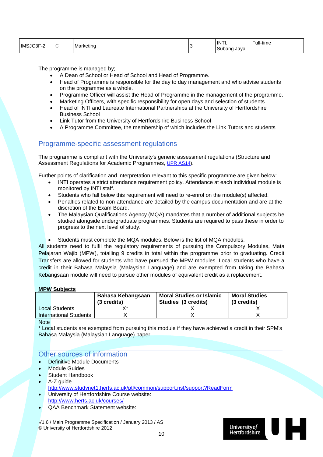| IMS<br>∩∩г<br>′etino<br>∵⊦اڭت<br>1V |  | <b>INTI</b><br>Java<br>י | .<br>'−ull-time |
|-------------------------------------|--|--------------------------|-----------------|
|-------------------------------------|--|--------------------------|-----------------|

The programme is managed by;

- A Dean of School or Head of School and Head of Programme.
- Head of Programme is responsible for the day to day management and who advise students on the programme as a whole.
- Programme Officer will assist the Head of Programme in the management of the programme.
- Marketing Officers, with specific responsibility for open days and selection of students.
- Head of INTI and Laureate International Partnerships at the University of Hertfordshire Business School
- Link Tutor from the University of Hertfordshire Business School
- A Programme Committee, the membership of which includes the Link Tutors and students

### Programme-specific assessment regulations

The programme is compliant with the University's generic assessment regulations (Structure and Assessment Regulations for Academic Programmes, [UPR AS14\)](http://sitem.herts.ac.uk/secreg/upr/AS14.htm).

Further points of clarification and interpretation relevant to this specific programme are given below:

- INTI operates a strict attendance requirement policy. Attendance at each individual module is monitored by INTI staff.
- Students who fall below this requirement will need to re-enrol on the module(s) affected.
- Penalties related to non-attendance are detailed by the campus documentation and are at the discretion of the Exam Board.
- The Malaysian Qualifications Agency (MQA) mandates that a number of additional subjects be studied alongside undergraduate programmes. Students are required to pass these in order to progress to the next level of study.
- Students must complete the MQA modules. Below is the list of MQA modules.

All students need to fulfil the regulatory requirements of pursuing the Compulsory Modules, Mata Pelajaran Wajib (MPW), totalling 9 credits in total within the programme prior to graduating. Credit Transfers are allowed for students who have pursued the MPW modules. Local students who have a credit in their Bahasa Malaysia (Malaysian Language) and are exempted from taking the Bahasa Kebangsaan module will need to pursue other modules of equivalent credit as a replacement.

### **MPW Subjects**

|                               | Bahasa Kebangsaan<br>(3 credits) | <b>Moral Studies or Islamic</b><br>Studies (3 credits) | <b>Moral Studies</b><br>(3 credits) |
|-------------------------------|----------------------------------|--------------------------------------------------------|-------------------------------------|
| Local Students                | v*                               |                                                        |                                     |
| <b>International Students</b> |                                  |                                                        |                                     |
|                               |                                  |                                                        |                                     |

**Note** 

\* Local students are exempted from pursuing this module if they have achieved a credit in their SPM's Bahasa Malaysia (Malaysian Language) paper.

### Other sources of information

- Definitive Module Documents
- Module Guides
- **Student Handbook**
- A-Z quide <http://www.studynet1.herts.ac.uk/ptl/common/support.nsf/support?ReadForm>
- University of Hertfordshire Course website: <http://www.herts.ac.uk/courses/>
- QAA Benchmark Statement website:

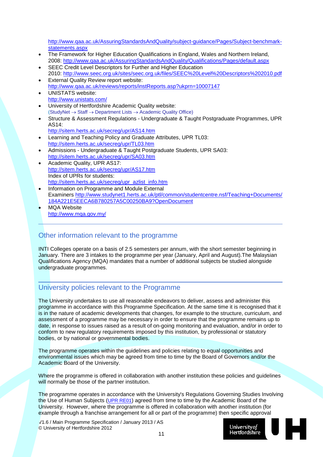[http://www.qaa.ac.uk/AssuringStandardsAndQuality/subject-guidance/Pages/Subject-benchmark](http://www.qaa.ac.uk/AssuringStandardsAndQuality/subject-guidance/Pages/Subject-benchmark-statements.aspx)[statements.aspx](http://www.qaa.ac.uk/AssuringStandardsAndQuality/subject-guidance/Pages/Subject-benchmark-statements.aspx)

- The Framework for Higher Education Qualifications in England, Wales and Northern Ireland, 2008:<http://www.qaa.ac.uk/AssuringStandardsAndQuality/Qualifications/Pages/default.aspx>
- SEEC Credit Level Descriptors for Further and Higher Education 2010:<http://www.seec.org.uk/sites/seec.org.uk/files/SEEC%20Level%20Descriptors%202010.pdf> **External Quality Review report website:**
- <http://www.qaa.ac.uk/reviews/reports/instReports.asp?ukprn=10007147>
- UNISTATS website: <http://www.unistats.com/>
- University of Hertfordshire Academic Quality website: (StudyNet → Staff → Department Lists → Academic Quality Office)
- Structure & Assessment Regulations Undergraduate & Taught Postgraduate Programmes, UPR AS14:
	- <http://sitem.herts.ac.uk/secreg/upr/AS14.htm>
- Learning and Teaching Policy and Graduate Attributes, UPR TL03: <http://sitem.herts.ac.uk/secreg/upr/TL03.htm>
- Admissions Undergraduate & Taught Postgraduate Students, UPR SA03: <http://sitem.herts.ac.uk/secreg/upr/SA03.htm>
- Academic Quality, UPR AS17: <http://sitem.herts.ac.uk/secreg/upr/AS17.htm> Index of UPRs for students: [http://sitem.herts.ac.uk/secreg/upr\\_azlist\\_info.htm](http://sitem.herts.ac.uk/secreg/upr_azlist_info.htm)
- Information on Programme and Module External Examiners [http://www.studynet1.herts.ac.uk/ptl/common/studentcentre.nsf/Teaching+Documents/](http://www.studynet1.herts.ac.uk/ptl/common/studentcentre.nsf/Teaching+Documents/184A221E5EECA6B780257A5C00250BA9?OpenDocument) [184A221E5EECA6B780257A5C00250BA9?OpenDocument](http://www.studynet1.herts.ac.uk/ptl/common/studentcentre.nsf/Teaching+Documents/184A221E5EECA6B780257A5C00250BA9?OpenDocument)
- MQA Website <http://www.mqa.gov.my/>

### Other information relevant to the programme

INTI Colleges operate on a basis of 2.5 semesters per annum, with the short semester beginning in January. There are 3 intakes to the programme per year (January, April and August).The Malaysian Qualifications Agency (MQA) mandates that a number of additional subjects be studied alongside undergraduate programmes.

### University policies relevant to the Programme

The University undertakes to use all reasonable endeavors to deliver, assess and administer this programme in accordance with this Programme Specification. At the same time it is recognised that it is in the nature of academic developments that changes, for example to the structure, curriculum, and assessment of a programme may be necessary in order to ensure that the programme remains up to date, in response to issues raised as a result of on-going monitoring and evaluation, and/or in order to conform to new regulatory requirements imposed by this institution, by professional or statutory bodies, or by national or governmental bodies.

The programme operates within the guidelines and policies relating to equal opportunities and environmental issues which may be agreed from time to time by the Board of Governors and/or the Academic Board of the University.

Where the programme is offered in collaboration with another institution these policies and guidelines will normally be those of the partner institution.

The programme operates in accordance with the University's Regulations Governing Studies Involving the Use of Human Subjects [\(UPR RE01\)](http://sitem.herts.ac.uk/secreg/upr/RE01.htm) agreed from time to time by the Academic Board of the University. However, where the programme is offered in collaboration with another institution (for example through a franchise arrangement for all or part of the programme) then specific approval

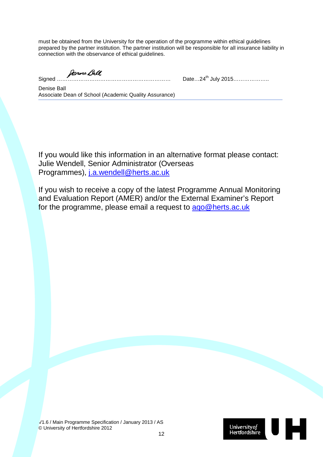must be obtained from the University for the operation of the programme within ethical guidelines prepared by the partner institution. The partner institution will be responsible for all insurance liability in connection with the observance of ethical guidelines.

Signed ……………………………………………………… Date…24th July 2015………………..

Denise Ball Associate Dean of School (Academic Quality Assurance)

If you would like this information in an alternative format please contact: Julie Wendell, Senior Administrator (Overseas Programmes), [j.a.wendell@herts.ac.uk](mailto:j.a.wendell@herts.ac.uk)

If you wish to receive a copy of the latest Programme Annual Monitoring and Evaluation Report (AMER) and/or the External Examiner's Report for the programme, please email a request to [aqo@herts.ac.uk](mailto:aqo@herts.ac.uk)

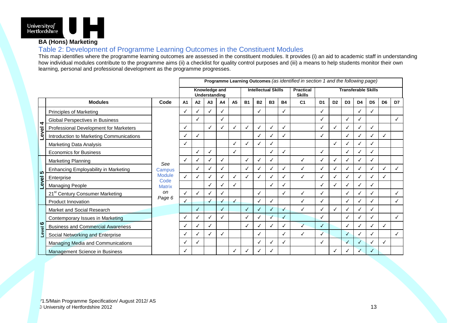

### **BA (Hons) Marketing**

### Table 2: Development of Programme Learning Outcomes in the Constituent Modules

This map identifies where the programme learning outcomes are assessed in the constituent modules. It provides (i) an aid to academic staff in understanding how individual modules contribute to the programme aims (ii) a checklist for quality control purposes and (iii) a means to help students monitor their own learning, personal and professional development as the programme progresses.

|                                |                                             |                                                                         | Programme Learning Outcomes (as identified in section 1 and the following page) |              |              |    |                |                            |              |           |           |                                   |                            |                |                |    |                |                |    |
|--------------------------------|---------------------------------------------|-------------------------------------------------------------------------|---------------------------------------------------------------------------------|--------------|--------------|----|----------------|----------------------------|--------------|-----------|-----------|-----------------------------------|----------------------------|----------------|----------------|----|----------------|----------------|----|
|                                |                                             |                                                                         | Knowledge and<br>Understanding                                                  |              |              |    |                | <b>Intellectual Skills</b> |              |           |           | <b>Practical</b><br><b>Skills</b> | <b>Transferable Skills</b> |                |                |    |                |                |    |
|                                | <b>Modules</b>                              | Code                                                                    | A1                                                                              | A2           | A3           | A4 | A <sub>5</sub> | <b>B1</b>                  | <b>B2</b>    | <b>B3</b> | <b>B4</b> | C <sub>1</sub>                    | D <sub>1</sub>             | D <sub>2</sub> | D <sub>3</sub> | D4 | D <sub>5</sub> | D <sub>6</sub> | D7 |
| 4<br>evel                      | <b>Principles of Marketing</b>              | See<br>Campus<br><b>Module</b><br>Code<br><b>Matrix</b><br>on<br>Page 6 | $\checkmark$                                                                    |              | ✓            |    |                |                            | ✓            |           | ✓         |                                   | $\checkmark$               |                |                | √  | ✓              |                |    |
|                                | Global Perspectives in Business             |                                                                         |                                                                                 |              |              |    |                |                            |              |           |           |                                   | ✓                          |                |                |    |                |                |    |
|                                | Professional Development for Marketers      |                                                                         |                                                                                 |              | $\checkmark$ |    | ✓              |                            |              |           | ✓         |                                   | $\checkmark$               |                |                |    | √              |                |    |
|                                | Introduction to Marketing Communications    |                                                                         | ✓                                                                               | $\checkmark$ |              |    |                |                            |              |           | √         |                                   | ✓                          |                | ✓              |    | ✓              | √              |    |
|                                | Marketing Data Analysis                     |                                                                         | ✓                                                                               |              |              |    | ✓              |                            |              |           |           |                                   |                            | ✓              | ✓              |    | √              |                |    |
|                                | <b>Economics for Business</b>               |                                                                         |                                                                                 |              | ✓            |    | √              |                            |              |           | J         |                                   | ✓                          |                |                |    | √              |                |    |
| က<br>Level                     | Marketing Planning                          |                                                                         | ℐ                                                                               |              | √            |    |                |                            |              |           |           | ✓                                 | ✓                          |                | √              |    | √              |                |    |
|                                | Enhancing Employability in Marketing        |                                                                         |                                                                                 | ✓            | $\checkmark$ |    |                | √                          | $\checkmark$ | √         | J         | ✓                                 | ✓                          | ✓              | ✓              | ✓  | $\checkmark$   | √              | ✓  |
|                                | Enterprise                                  |                                                                         | ✓                                                                               |              | ✓            |    | $\checkmark$   |                            |              |           | J         | ✓                                 | ✓                          |                | ✓              |    | √              |                |    |
|                                | Managing People                             |                                                                         |                                                                                 |              | $\checkmark$ |    | √              |                            |              | N         | √         |                                   | ✓                          |                | ✓              |    | $\checkmark$   |                |    |
|                                | 21 <sup>st</sup> Century Consumer Marketing |                                                                         | ✓                                                                               |              | √            |    |                |                            |              |           | √         | ✓                                 | ✓                          |                | J              |    | √              |                |    |
|                                | <b>Product Innovation</b>                   |                                                                         | $\checkmark$                                                                    |              | $\sqrt{2}$   |    | $\checkmark$   |                            |              | ✓         |           | $\checkmark$                      | $\checkmark$               |                | ✓              |    | $\checkmark$   |                | ✓  |
| $\boldsymbol{\omega}$<br>Level | Market and Social Research                  |                                                                         |                                                                                 | √            |              |    |                | ✓                          |              |           | √         | $\checkmark$                      | ✓                          |                | ✓              |    | ✓              |                |    |
|                                | Contemporary Issues in Marketing            |                                                                         | $\checkmark$                                                                    |              | ✓            |    |                |                            |              |           | ✓         |                                   | ✓                          |                |                |    | √              |                | ✓  |
|                                | <b>Business and Commercial Awareness</b>    |                                                                         | ✓                                                                               |              | √            |    |                |                            |              |           | J         | $\checkmark$                      | $\checkmark$               |                | ✓              |    | ✓              |                |    |
|                                | Social Networking and Enterprise            |                                                                         | ✓                                                                               |              | ✓            |    |                |                            |              |           | ✓         | ✓                                 | $\checkmark$               |                | ✓              |    | ✓              |                | ✓  |
|                                | Managing Media and Communications           |                                                                         | ✓                                                                               |              |              |    |                |                            |              |           | √         |                                   | ✓                          |                | J              |    | √              |                |    |
|                                | Management Science in Business              |                                                                         |                                                                                 |              |              |    |                |                            |              |           |           |                                   |                            |                |                |    | √              |                |    |